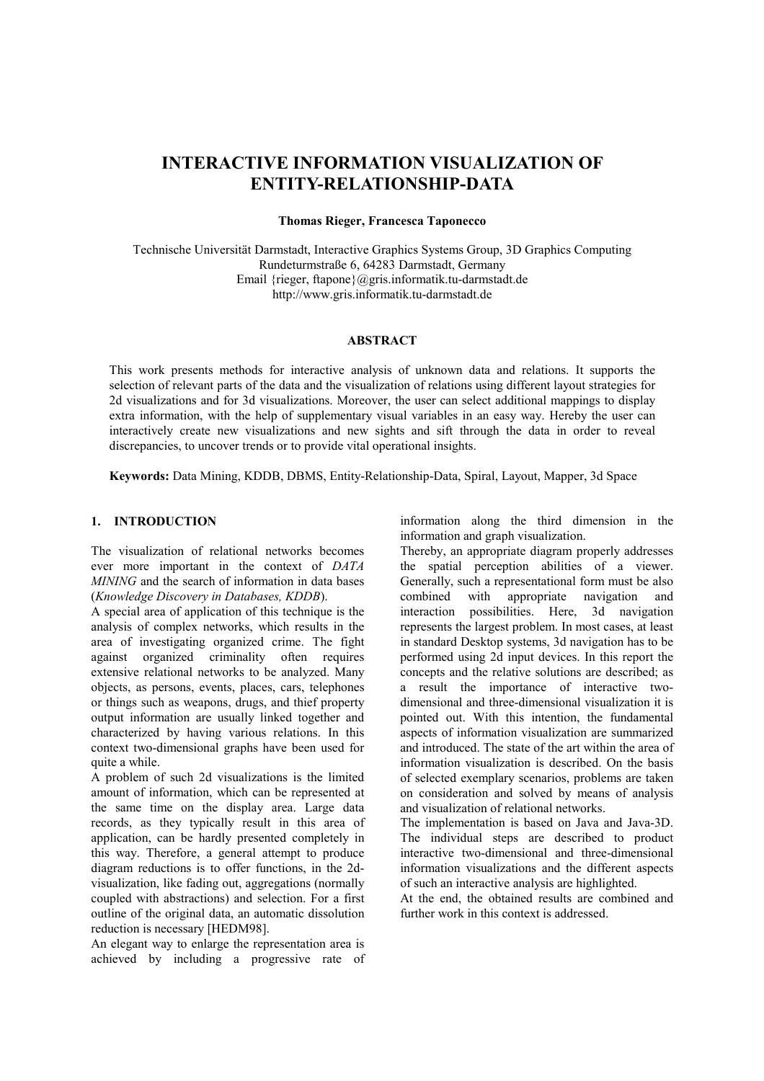# **INTERACTIVE INFORMATION VISUALIZATION OF ENTITY-RELATIONSHIP-DATA**

#### **Thomas Rieger, Francesca Taponecco**

Technische Universität Darmstadt, Interactive Graphics Systems Group, 3D Graphics Computing Rundeturmstraße 6, 64283 Darmstadt, Germany Email {rieger, ftapone}@gris.informatik.tu-darmstadt.de [http://www.gris.informatik.tu-darmstadt.de](http://www.zgdv.de/) 

#### **ABSTRACT**

This work presents methods for interactive analysis of unknown data and relations. It supports the selection of relevant parts of the data and the visualization of relations using different layout strategies for 2d visualizations and for 3d visualizations. Moreover, the user can select additional mappings to display extra information, with the help of supplementary visual variables in an easy way. Hereby the user can interactively create new visualizations and new sights and sift through the data in order to reveal discrepancies, to uncover trends or to provide vital operational insights.

**Keywords:** Data Mining, KDDB, DBMS, Entity-Relationship-Data, Spiral, Layout, Mapper, 3d Space

# **1. INTRODUCTION**

The visualization of relational networks becomes ever more important in the context of *DATA MINING* and the search of information in data bases (*Knowledge Discovery in Databases, KDDB*).

A special area of application of this technique is the analysis of complex networks, which results in the area of investigating organized crime. The fight against organized criminality often requires extensive relational networks to be analyzed. Many objects, as persons, events, places, cars, telephones or things such as weapons, drugs, and thief property output information are usually linked together and characterized by having various relations. In this context two-dimensional graphs have been used for quite a while.

A problem of such 2d visualizations is the limited amount of information, which can be represented at the same time on the display area. Large data records, as they typically result in this area of application, can be hardly presented completely in this way. Therefore, a general attempt to produce diagram reductions is to offer functions, in the 2dvisualization, like fading out, aggregations (normally coupled with abstractions) and selection. For a first outline of the original data, an automatic dissolution reduction is necessary [HEDM98].

An elegant way to enlarge the representation area is achieved by including a progressive rate of information along the third dimension in the information and graph visualization.

Thereby, an appropriate diagram properly addresses the spatial perception abilities of a viewer. Generally, such a representational form must be also<br>combined with appropriate navigation and appropriate navigation and interaction possibilities. Here, 3d navigation represents the largest problem. In most cases, at least in standard Desktop systems, 3d navigation has to be performed using 2d input devices. In this report the concepts and the relative solutions are described; as a result the importance of interactive twodimensional and three-dimensional visualization it is pointed out. With this intention, the fundamental aspects of information visualization are summarized and introduced. The state of the art within the area of information visualization is described. On the basis of selected exemplary scenarios, problems are taken on consideration and solved by means of analysis and visualization of relational networks.

The implementation is based on Java and Java-3D. The individual steps are described to product interactive two-dimensional and three-dimensional information visualizations and the different aspects of such an interactive analysis are highlighted.

At the end, the obtained results are combined and further work in this context is addressed.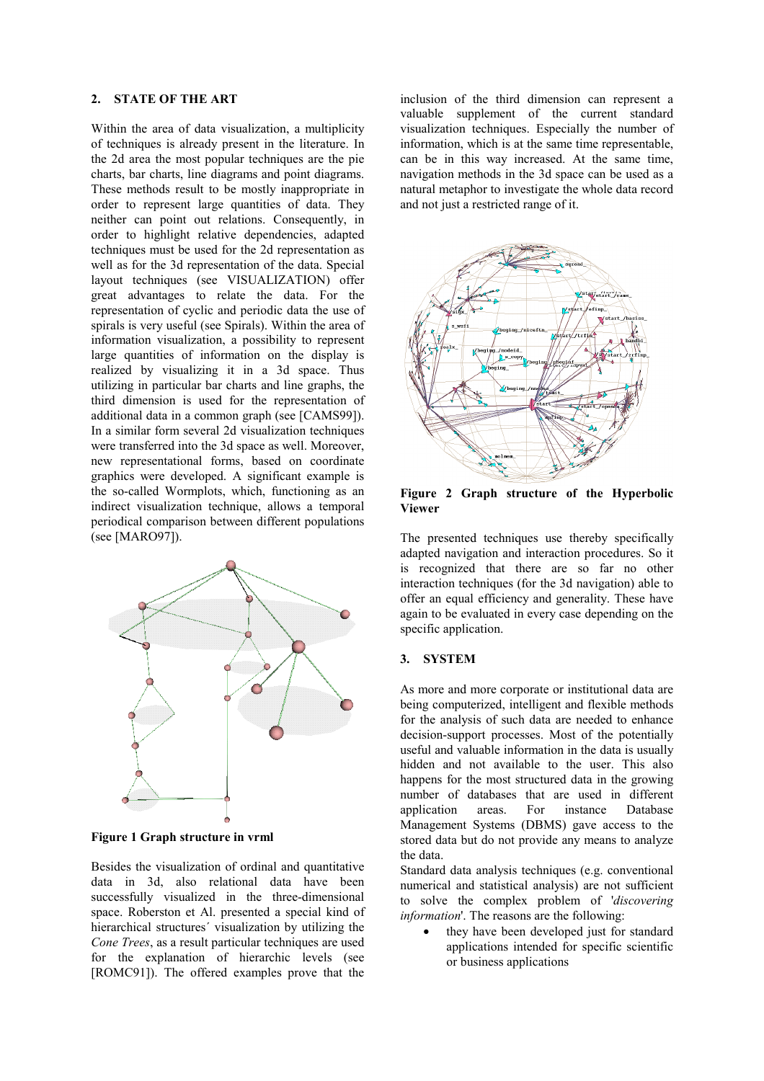#### **2. STATE OF THE ART**

Within the area of data visualization, a multiplicity of techniques is already present in the literature. In the 2d area the most popular techniques are the pie charts, bar charts, line diagrams and point diagrams. These methods result to be mostly inappropriate in order to represent large quantities of data. They neither can point out relations. Consequently, in order to highlight relative dependencies, adapted techniques must be used for the 2d representation as well as for the 3d representation of the data. Special layout techniques (see [VISUALIZATION\)](#page-2-0) offer great advantages to relate the data. For the representation of cyclic and periodic data the use of spirals is very useful (see [Spirals\)](#page-4-0). Within the area of information visualization, a possibility to represent large quantities of information on the display is realized by visualizing it in a 3d space. Thus utilizing in particular bar charts and line graphs, the third dimension is used for the representation of additional data in a common graph (see [CAMS99]). In a similar form several 2d visualization techniques were transferred into the 3d space as well. Moreover, new representational forms, based on coordinate graphics were developed. A significant example is the so-called Wormplots, which, functioning as an indirect visualization technique, allows a temporal periodical comparison between different populations (see [MARO97]).



**Figure 1 Graph structure in vrml** 

Besides the visualization of ordinal and quantitative data in 3d, also relational data have been successfully visualized in the three-dimensional space. Roberston et Al. presented a special kind of hierarchical structures´ visualization by utilizing the *Cone Trees*, as a result particular techniques are used for the explanation of hierarchic levels (see [ROMC91]). The offered examples prove that the

inclusion of the third dimension can represent a valuable supplement of the current standard visualization techniques. Especially the number of information, which is at the same time representable, can be in this way increased. At the same time, navigation methods in the 3d space can be used as a natural metaphor to investigate the whole data record and not just a restricted range of it.



**Figure 2 Graph structure of the Hyperbolic Viewer** 

The presented techniques use thereby specifically adapted navigation and interaction procedures. So it is recognized that there are so far no other interaction techniques (for the 3d navigation) able to offer an equal efficiency and generality. These have again to be evaluated in every case depending on the specific application.

#### **3. SYSTEM**

As more and more corporate or institutional data are being computerized, intelligent and flexible methods for the analysis of such data are needed to enhance decision-support processes. Most of the potentially useful and valuable information in the data is usually hidden and not available to the user. This also happens for the most structured data in the growing number of databases that are used in different application areas. For instance Database Management Systems (DBMS) gave access to the stored data but do not provide any means to analyze the data.

Standard data analysis techniques (e.g. conventional numerical and statistical analysis) are not sufficient to solve the complex problem of '*discovering information*'. The reasons are the following:

they have been developed just for standard applications intended for specific scientific or business applications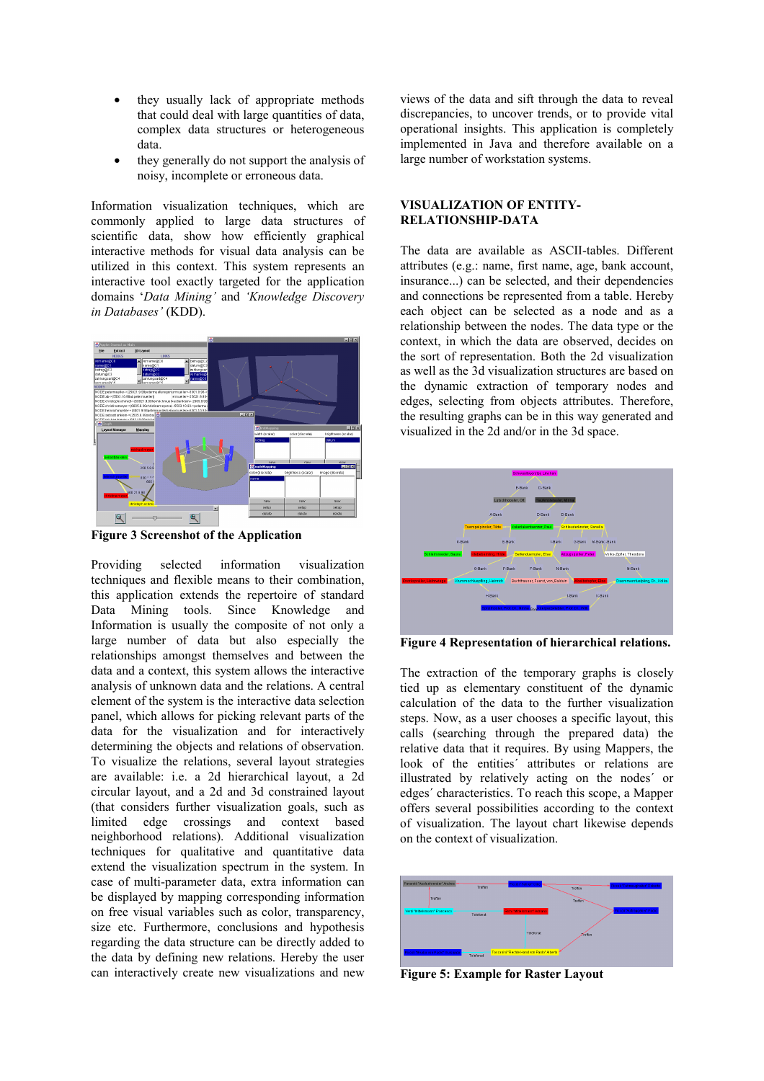- <span id="page-2-0"></span>• they usually lack of appropriate methods that could deal with large quantities of data, complex data structures or heterogeneous data.
- they generally do not support the analysis of noisy, incomplete or erroneous data.

Information visualization techniques, which are commonly applied to large data structures of scientific data, show how efficiently graphical interactive methods for visual data analysis can be utilized in this context. This system represents an interactive tool exactly targeted for the application domains '*Data Mining'* and *'Knowledge Discovery in Databases'* (KDD).



**Figure 3 Screenshot of the Application** 

Providing selected information visualization techniques and flexible means to their combination, this application extends the repertoire of standard Data Mining tools. Since Knowledge and Information is usually the composite of not only a large number of data but also especially the relationships amongst themselves and between the data and a context, this system allows the interactive analysis of unknown data and the relations. A central element of the system is the interactive data selection panel, which allows for picking relevant parts of the data for the visualization and for interactively determining the objects and relations of observation. To visualize the relations, several layout strategies are available: i.e. a 2d hierarchical layout, a 2d circular layout, and a 2d and 3d constrained layout (that considers further visualization goals, such as limited edge crossings and context based neighborhood relations). Additional visualization techniques for qualitative and quantitative data extend the visualization spectrum in the system. In case of multi-parameter data, extra information can be displayed by mapping corresponding information on free visual variables such as color, transparency, size etc. Furthermore, conclusions and hypothesis regarding the data structure can be directly added to the data by defining new relations. Hereby the user can interactively create new visualizations and new

views of the data and sift through the data to reveal discrepancies, to uncover trends, or to provide vital operational insights. This application is completely implemented in Java and therefore available on a large number of workstation systems.

#### **VISUALIZATION OF ENTITY-RELATIONSHIP-DATA**

The data are available as ASCII-tables. Different attributes (e.g.: name, first name, age, bank account, insurance...) can be selected, and their dependencies and connections be represented from a table. Hereby each object can be selected as a node and as a relationship between the nodes. The data type or the context, in which the data are observed, decides on the sort of representation. Both the 2d visualization as well as the 3d visualization structures are based on the dynamic extraction of temporary nodes and edges, selecting from objects attributes. Therefore, the resulting graphs can be in this way generated and visualized in the 2d and/or in the 3d space.



**Figure 4 Representation of hierarchical relations.** 

The extraction of the temporary graphs is closely tied up as elementary constituent of the dynamic calculation of the data to the further visualization steps. Now, as a user chooses a specific layout, this calls (searching through the prepared data) the relative data that it requires. By using Mappers, the look of the entities´ attributes or relations are illustrated by relatively acting on the nodes´ or edges´ characteristics. To reach this scope, a Mapper offers several possibilities according to the context of visualization. The layout chart likewise depends on the context of visualization.



**Figure 5: Example for Raster Layout**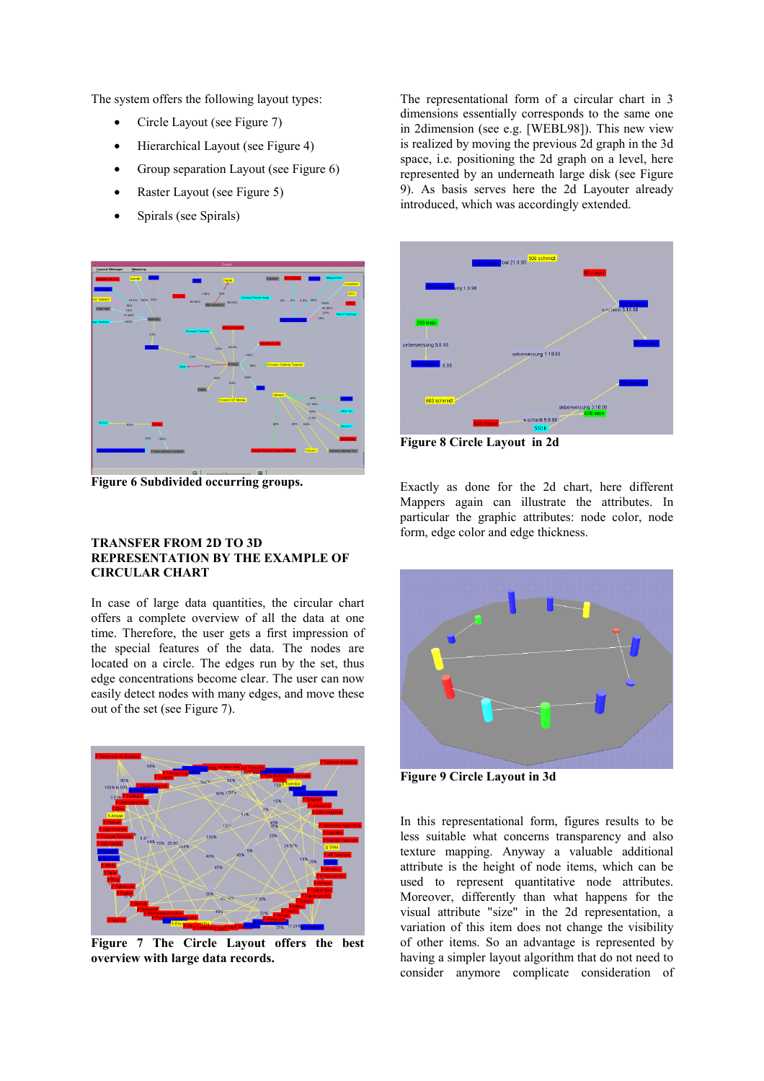<span id="page-3-0"></span>The system offers the following layout types:

- Circle Layout (see Figure 7)
- Hierarchical Layout (see [Figure 4\)](#page-2-0)
- Group separation Layout (see Figure 6)
- Raster Layout (see [Figure 5\)](#page-2-0)
- Spirals (see [Spirals\)](#page-4-0)



**Figure 6 Subdivided occurring groups.** 

# **TRANSFER FROM 2D TO 3D REPRESENTATION BY THE EXAMPLE OF CIRCULAR CHART**

In case of large data quantities, the circular chart offers a complete overview of all the data at one time. Therefore, the user gets a first impression of the special features of the data. The nodes are located on a circle. The edges run by the set, thus edge concentrations become clear. The user can now easily detect nodes with many edges, and move these out of the set (see Figure 7).



**Figure 7 The Circle Layout offers the best overview with large data records.** 

The representational form of a circular chart in 3 dimensions essentially corresponds to the same one in 2dimension (see e.g. [WEBL98]). This new view is realized by moving the previous 2d graph in the 3d space, i.e. positioning the 2d graph on a level, here represented by an underneath large disk (see Figure 9). As basis serves here the 2d Layouter already introduced, which was accordingly extended.



**Figure 8 Circle Layout in 2d** 

Exactly as done for the 2d chart, here different Mappers again can illustrate the attributes. In particular the graphic attributes: node color, node form, edge color and edge thickness.



**Figure 9 Circle Layout in 3d** 

In this representational form, figures results to be less suitable what concerns transparency and also texture mapping. Anyway a valuable additional attribute is the height of node items, which can be used to represent quantitative node attributes. Moreover, differently than what happens for the visual attribute "size" in the 2d representation, a variation of this item does not change the visibility of other items. So an advantage is represented by having a simpler layout algorithm that do not need to consider anymore complicate consideration of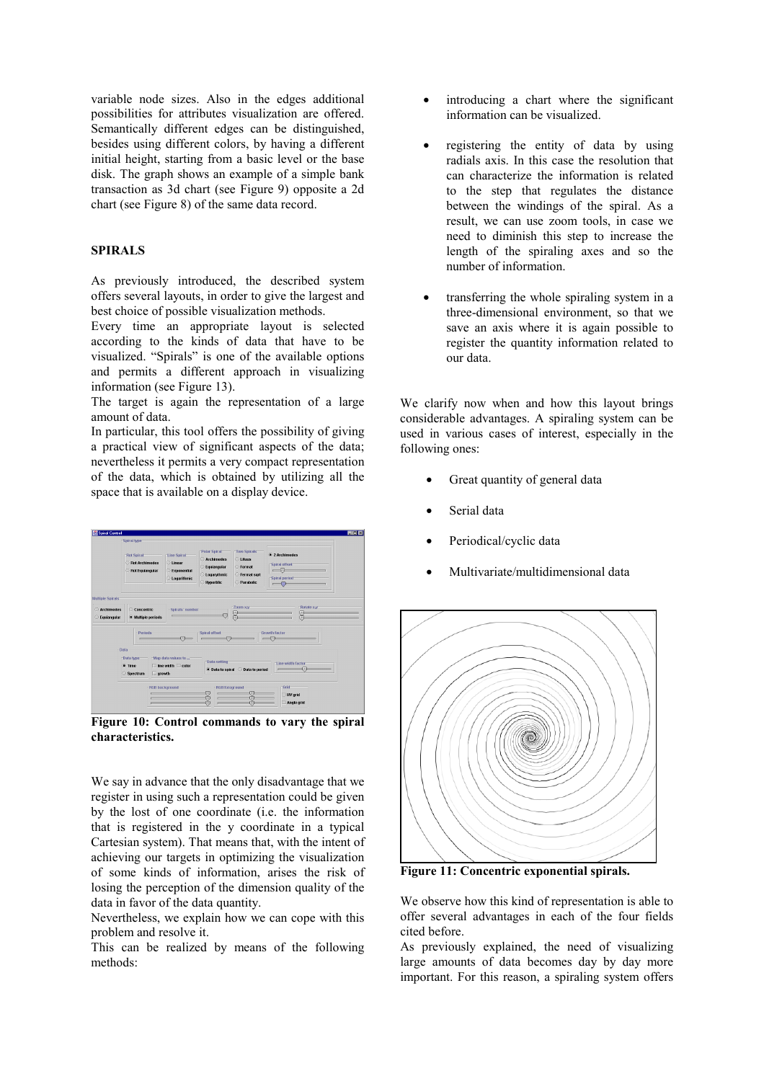<span id="page-4-0"></span>variable node sizes. Also in the edges additional possibilities for attributes visualization are offered. Semantically different edges can be distinguished, besides using different colors, by having a different initial height, starting from a basic level or the base disk. The graph shows an example of a simple bank transaction as 3d chart (see [Figure 9\)](#page-3-0) opposite a 2d chart (see [Figure 8\)](#page-3-0) of the same data record.

# **SPIRALS**

As previously introduced, the described system offers several layouts, in order to give the largest and best choice of possible visualization methods.

Every time an appropriate layout is selected according to the kinds of data that have to be visualized. "Spirals" is one of the available options and permits a different approach in visualizing information (see [Figure 13\)](#page-5-0).

The target is again the representation of a large amount of data.

In particular, this tool offers the possibility of giving a practical view of significant aspects of the data; nevertheless it permits a very compact representation of the data, which is obtained by utilizing all the space that is available on a display device.



**Figure 10: Control commands to vary the spiral characteristics.** 

We say in advance that the only disadvantage that we register in using such a representation could be given by the lost of one coordinate (i.e. the information that is registered in the y coordinate in a typical Cartesian system). That means that, with the intent of achieving our targets in optimizing the visualization of some kinds of information, arises the risk of losing the perception of the dimension quality of the data in favor of the data quantity.

Nevertheless, we explain how we can cope with this problem and resolve it.

This can be realized by means of the following methods:

- introducing a chart where the significant information can be visualized.
- registering the entity of data by using radials axis. In this case the resolution that can characterize the information is related to the step that regulates the distance between the windings of the spiral. As a result, we can use zoom tools, in case we need to diminish this step to increase the length of the spiraling axes and so the number of information.
- transferring the whole spiraling system in a three-dimensional environment, so that we save an axis where it is again possible to register the quantity information related to our data.

We clarify now when and how this layout brings considerable advantages. A spiraling system can be used in various cases of interest, especially in the following ones:

- Great quantity of general data
- Serial data
- Periodical/cyclic data
- Multivariate/multidimensional data



**Figure 11: Concentric exponential spirals.** 

We observe how this kind of representation is able to offer several advantages in each of the four fields cited before.

As previously explained, the need of visualizing large amounts of data becomes day by day more important. For this reason, a spiraling system offers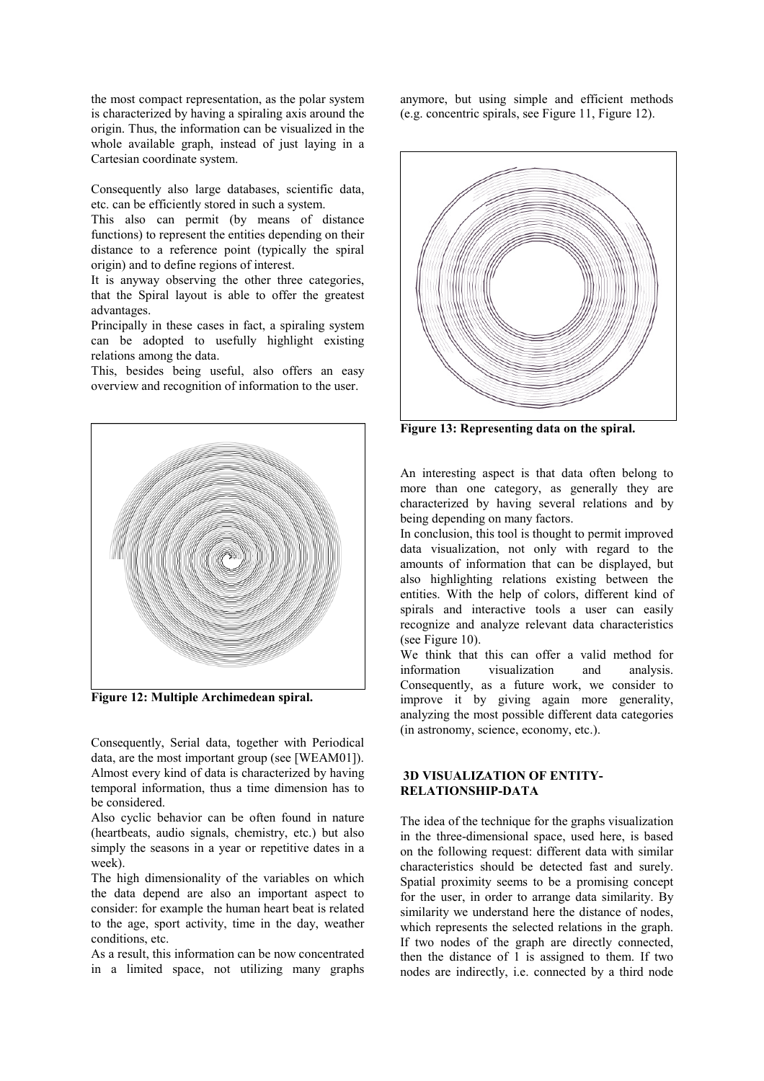<span id="page-5-0"></span>the most compact representation, as the polar system is characterized by having a spiraling axis around the origin. Thus, the information can be visualized in the whole available graph, instead of just laying in a Cartesian coordinate system.

Consequently also large databases, scientific data, etc. can be efficiently stored in such a system.

This also can permit (by means of distance functions) to represent the entities depending on their distance to a reference point (typically the spiral origin) and to define regions of interest.

It is anyway observing the other three categories, that the Spiral layout is able to offer the greatest advantages.

Principally in these cases in fact, a spiraling system can be adopted to usefully highlight existing relations among the data.

This, besides being useful, also offers an easy overview and recognition of information to the user.



**Figure 12: Multiple Archimedean spiral.** 

Consequently, Serial data, together with Periodical data, are the most important group (see [WEAM01]). Almost every kind of data is characterized by having temporal information, thus a time dimension has to be considered.

Also cyclic behavior can be often found in nature (heartbeats, audio signals, chemistry, etc.) but also simply the seasons in a year or repetitive dates in a week).

The high dimensionality of the variables on which the data depend are also an important aspect to consider: for example the human heart beat is related to the age, sport activity, time in the day, weather conditions, etc.

As a result, this information can be now concentrated in a limited space, not utilizing many graphs anymore, but using simple and efficient methods (e.g. concentric spirals, see [Figure 11,](#page-4-0) Figure 12).



**Figure 13: Representing data on the spiral.** 

An interesting aspect is that data often belong to more than one category, as generally they are characterized by having several relations and by being depending on many factors.

In conclusion, this tool is thought to permit improved data visualization, not only with regard to the amounts of information that can be displayed, but also highlighting relations existing between the entities. With the help of colors, different kind of spirals and interactive tools a user can easily recognize and analyze relevant data characteristics (see [Figure 10\)](#page-4-0).

We think that this can offer a valid method for information visualization and analysis. Consequently, as a future work, we consider to improve it by giving again more generality, analyzing the most possible different data categories (in astronomy, science, economy, etc.).

## **3D VISUALIZATION OF ENTITY-RELATIONSHIP-DATA**

The idea of the technique for the graphs visualization in the three-dimensional space, used here, is based on the following request: different data with similar characteristics should be detected fast and surely. Spatial proximity seems to be a promising concept for the user, in order to arrange data similarity. By similarity we understand here the distance of nodes, which represents the selected relations in the graph. If two nodes of the graph are directly connected, then the distance of 1 is assigned to them. If two nodes are indirectly, i.e. connected by a third node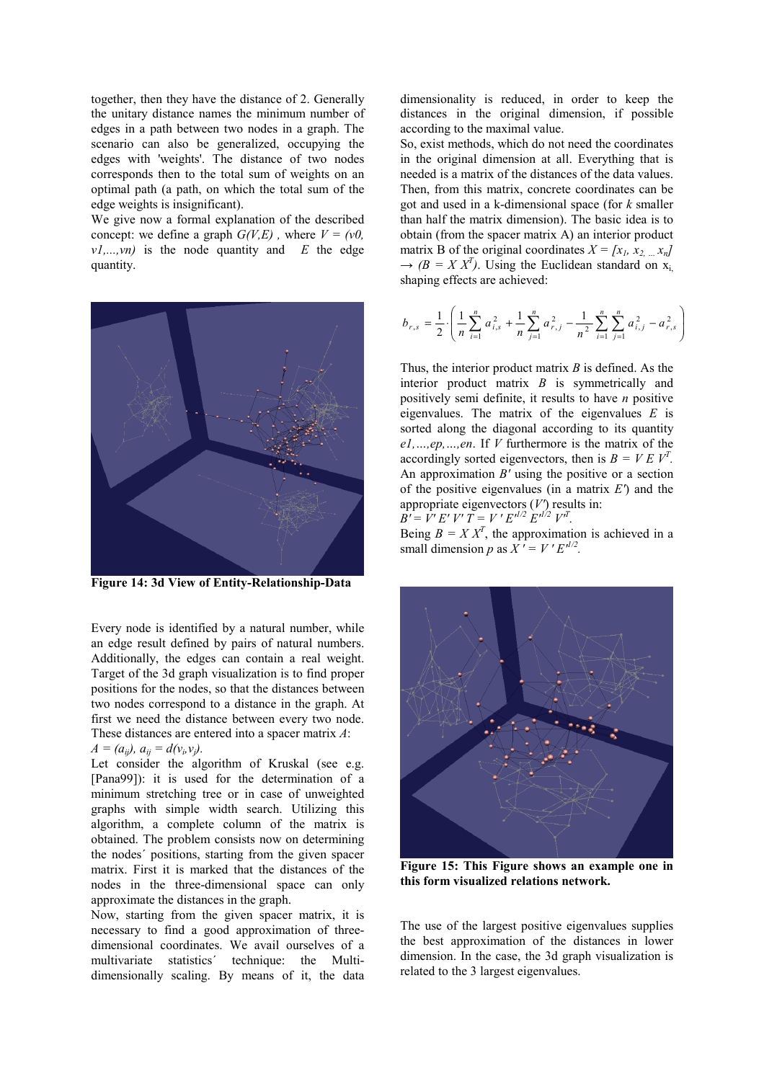together, then they have the distance of 2. Generally the unitary distance names the minimum number of edges in a path between two nodes in a graph. The scenario can also be generalized, occupying the edges with 'weights'. The distance of two nodes corresponds then to the total sum of weights on an optimal path (a path, on which the total sum of the edge weights is insignificant).

We give now a formal explanation of the described concept: we define a graph  $G(V,E)$ , where  $V = (v0,$  $v1,...,vn$  is the node quantity and *E* the edge quantity.



**Figure 14: 3d View of Entity-Relationship-Data** 

Every node is identified by a natural number, while an edge result defined by pairs of natural numbers. Additionally, the edges can contain a real weight. Target of the 3d graph visualization is to find proper positions for the nodes, so that the distances between two nodes correspond to a distance in the graph. At first we need the distance between every two node. These distances are entered into a spacer matrix *A*:  $A = (a_{ij}), a_{ij} = d(v_i, v_j).$ 

Let consider the algorithm of Kruskal (see e.g. [Pana99]): it is used for the determination of a minimum stretching tree or in case of unweighted graphs with simple width search. Utilizing this algorithm, a complete column of the matrix is obtained. The problem consists now on determining the nodes´ positions, starting from the given spacer matrix. First it is marked that the distances of the nodes in the three-dimensional space can only approximate the distances in the graph.

Now, starting from the given spacer matrix, it is necessary to find a good approximation of threedimensional coordinates. We avail ourselves of a multivariate statistics´ technique: the Multidimensionally scaling. By means of it, the data

dimensionality is reduced, in order to keep the distances in the original dimension, if possible according to the maximal value.

So, exist methods, which do not need the coordinates in the original dimension at all. Everything that is needed is a matrix of the distances of the data values. Then, from this matrix, concrete coordinates can be got and used in a k-dimensional space (for *k* smaller than half the matrix dimension). The basic idea is to obtain (from the spacer matrix A) an interior product matrix B of the original coordinates  $X = [x_1, x_2, ... x_n]$  $\rightarrow$  *(B = X X<sup>T</sup>)*. Using the Euclidean standard on x<sub>i</sub>, shaping effects are achieved:

$$
b_{r,s} = \frac{1}{2} \cdot \left( \frac{1}{n} \sum_{i=1}^{n} a_{i,s}^{2} + \frac{1}{n} \sum_{j=1}^{n} a_{r,j}^{2} - \frac{1}{n^{2}} \sum_{i=1}^{n} \sum_{j=1}^{n} a_{i,j}^{2} - a_{r,s}^{2} \right)
$$

Thus, the interior product matrix *B* is defined. As the interior product matrix *B* is symmetrically and positively semi definite, it results to have *n* positive eigenvalues. The matrix of the eigenvalues *E* is sorted along the diagonal according to its quantity *e1,…,ep,…,en*. If *V* furthermore is the matrix of the accordingly sorted eigenvectors, then is  $B = VE V^T$ . An approximation *B'* using the positive or a section of the positive eigenvalues (in a matrix *E'*) and the appropriate eigenvectors (*V'*) results in:  $\vec{B'} = \vec{V'} E' V' \vec{T} = V' E'^{1/2} E'^{1/2} V'^{T}$ .

Being  $B = X X^T$ , the approximation is achieved in a small dimension *p* as  $X' = V' E^{1/2}$ .



**Figure 15: This Figure shows an example one in this form visualized relations network.** 

The use of the largest positive eigenvalues supplies the best approximation of the distances in lower dimension. In the case, the 3d graph visualization is related to the 3 largest eigenvalues.